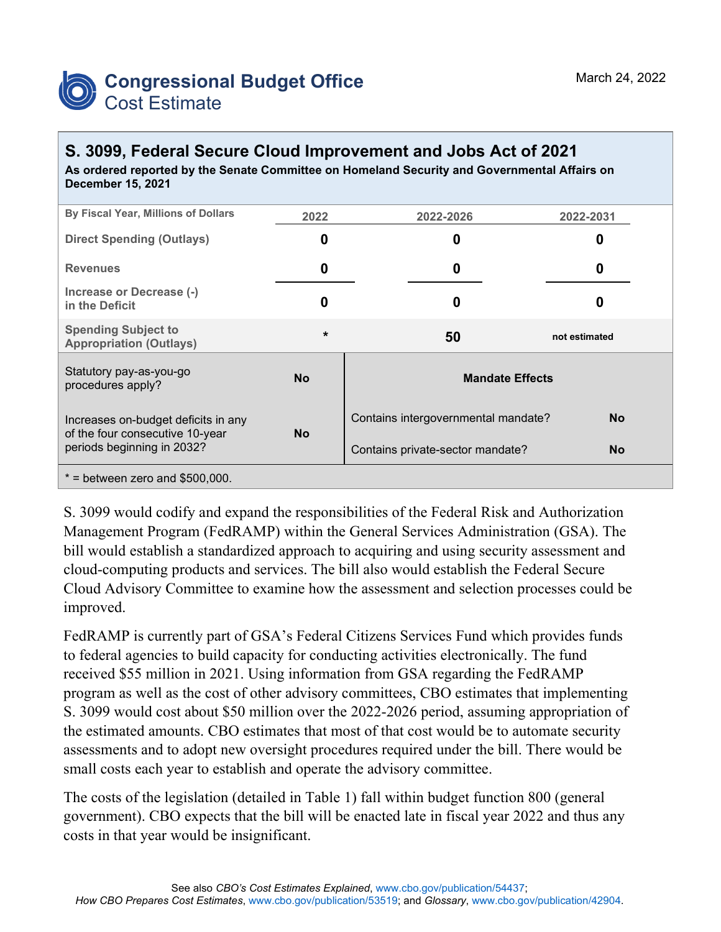

## **S. 3099, Federal Secure Cloud Improvement and Jobs Act of 2021**

**As ordered reported by the Senate Committee on Homeland Security and Governmental Affairs on December 15, 2021**

| By Fiscal Year, Millions of Dollars                                                                  | 2022      | 2022-2026                           | 2022-2031     |  |
|------------------------------------------------------------------------------------------------------|-----------|-------------------------------------|---------------|--|
| <b>Direct Spending (Outlays)</b>                                                                     | 0         | 0                                   | O             |  |
| <b>Revenues</b>                                                                                      | 0         | 0                                   | 0             |  |
| Increase or Decrease (-)<br>in the Deficit                                                           | 0         | 0                                   |               |  |
| <b>Spending Subject to</b><br><b>Appropriation (Outlays)</b>                                         | $\star$   | 50                                  | not estimated |  |
| Statutory pay-as-you-go<br>procedures apply?                                                         | <b>No</b> | <b>Mandate Effects</b>              |               |  |
| Increases on-budget deficits in any<br>of the four consecutive 10-year<br>periods beginning in 2032? | <b>No</b> | Contains intergovernmental mandate? | <b>No</b>     |  |
|                                                                                                      |           | Contains private-sector mandate?    | <b>No</b>     |  |
| $*$ = between zero and \$500,000.                                                                    |           |                                     |               |  |

S. 3099 would codify and expand the responsibilities of the Federal Risk and Authorization Management Program (FedRAMP) within the General Services Administration (GSA). The bill would establish a standardized approach to acquiring and using security assessment and cloud-computing products and services. The bill also would establish the Federal Secure Cloud Advisory Committee to examine how the assessment and selection processes could be improved.

FedRAMP is currently part of GSA's Federal Citizens Services Fund which provides funds to federal agencies to build capacity for conducting activities electronically. The fund received \$55 million in 2021. Using information from GSA regarding the FedRAMP program as well as the cost of other advisory committees, CBO estimates that implementing S. 3099 would cost about \$50 million over the 2022-2026 period, assuming appropriation of the estimated amounts. CBO estimates that most of that cost would be to automate security assessments and to adopt new oversight procedures required under the bill. There would be small costs each year to establish and operate the advisory committee.

The costs of the legislation (detailed in Table 1) fall within budget function 800 (general government). CBO expects that the bill will be enacted late in fiscal year 2022 and thus any costs in that year would be insignificant.